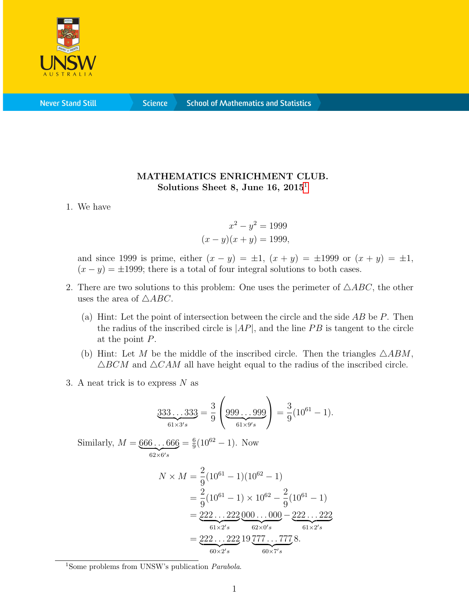

**Science** 

## MATHEMATICS ENRICHMENT CLUB. Solutions Sheet 8, June [1](#page-0-0)6,  $2015<sup>1</sup>$

## 1. We have

$$
x^{2} - y^{2} = 1999
$$

$$
(x - y)(x + y) = 1999,
$$

and since 1999 is prime, either  $(x - y) = \pm 1$ ,  $(x + y) = \pm 1$ ,  $(y + y) = \pm 1$ ,  $(x - y) = \pm 1999$ ; there is a total of four integral solutions to both cases.

- 2. There are two solutions to this problem: One uses the perimeter of  $\triangle ABC$ , the other uses the area of  $\triangle ABC$ .
	- (a) Hint: Let the point of intersection between the circle and the side  $AB$  be P. Then the radius of the inscribed circle is  $|AP|$ , and the line PB is tangent to the circle at the point P.
	- (b) Hint: Let M be the middle of the inscribed circle. Then the triangles  $\triangle ABM$ ,  $\triangle BCM$  and  $\triangle CAM$  all have height equal to the radius of the inscribed circle.
- 3. A neat trick is to express  $N$  as

$$
\underbrace{333\ldots 333}_{61\times 3's} = \frac{3}{9} \left( \underbrace{999\ldots 999}_{61\times 9's} \right) = \frac{3}{9} (10^{61} - 1).
$$

Similarly,  $M = 666 \dots 666$  $\overline{62\times 6's}$  $=\frac{6}{9}$  $\frac{6}{9}(10^{62}-1)$ . Now

$$
N \times M = \frac{2}{9} (10^{61} - 1)(10^{62} - 1)
$$
  
=  $\frac{2}{9} (10^{61} - 1) \times 10^{62} - \frac{2}{9} (10^{61} - 1)$   
=  $\underbrace{222 \dots 222}_{61 \times 2's} \underbrace{000 \dots 000}_{62 \times 0's} - \underbrace{222 \dots 222}_{61 \times 2's}$   
=  $\underbrace{222 \dots 222}_{60 \times 2's} 19 \underbrace{777 \dots 777}_{60 \times 7's} 8.$ 

<span id="page-0-0"></span><sup>&</sup>lt;sup>1</sup>Some problems from UNSW's publication *Parabola*.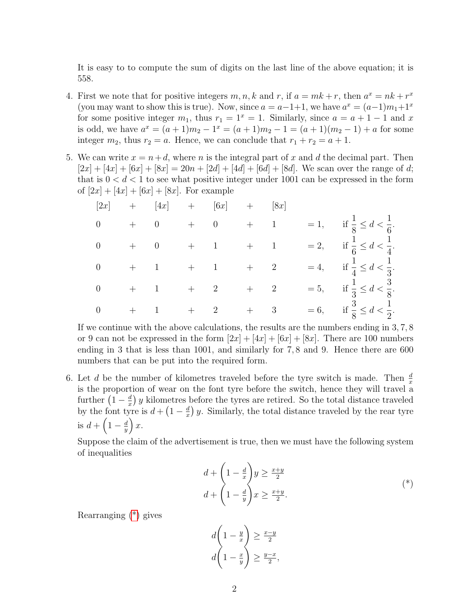It is easy to to compute the sum of digits on the last line of the above equation; it is 558.

- 4. First we note that for positive integers  $m, n, k$  and  $r$ , if  $a = mk + r$ , then  $a^x = nk + r^x$ (you may want to show this is true). Now, since  $a = a-1+1$ , we have  $a^x = (a-1)m_1+1^x$ for some positive integer  $m_1$ , thus  $r_1 = 1^x = 1$ . Similarly, since  $a = a + 1 - 1$  and x is odd, we have  $a^x = (a+1)m_2 - 1^x = (a+1)m_2 - 1 = (a+1)(m_2 - 1) + a$  for some integer  $m_2$ , thus  $r_2 = a$ . Hence, we can conclude that  $r_1 + r_2 = a + 1$ .
- 5. We can write  $x = n+d$ , where n is the integral part of x and d the decimal part. Then  $[2x] + [4x] + [6x] + [8x] = 20n + [2d] + [4d] + [6d] + [8d]$ . We scan over the range of d; that is  $0 < d < 1$  to see what positive integer under 1001 can be expressed in the form of  $[2x] + [4x] + [6x] + [8x]$ . For example

|                |             | $\begin{bmatrix} 2x \end{bmatrix} \quad \begin{array}{ccc} &+ & & [4x] & + & & [6x] & + & & [8x] \end{array}$                                                                                                                                                               |                                                   |  |                                              |
|----------------|-------------|-----------------------------------------------------------------------------------------------------------------------------------------------------------------------------------------------------------------------------------------------------------------------------|---------------------------------------------------|--|----------------------------------------------|
| $\overline{0}$ |             | $+ \qquad 0 \qquad \  \  + \qquad 0 \qquad \  \  + \qquad 1$                                                                                                                                                                                                                |                                                   |  | $= 1,$ if $\frac{1}{8} \le d < \frac{1}{6}.$ |
|                |             | $\begin{matrix} 0 & & + & & 0 & & + & & 1 & & + & & 1 \end{matrix}$                                                                                                                                                                                                         |                                                   |  | $= 2,$ if $\frac{1}{6} \le d < \frac{1}{4}.$ |
|                |             | $\begin{matrix} 0 & & + & 1 & & + & 1 \end{matrix}$                                                                                                                                                                                                                         | $\begin{matrix} + & \phantom{+} & 2 \end{matrix}$ |  | $= 4,$ if $\frac{1}{4} \le d < \frac{1}{3}.$ |
| $\overline{0}$ | $+\qquad 1$ | $+$ 2                                                                                                                                                                                                                                                                       | $\begin{matrix} + & \phantom{+} & 2 \end{matrix}$ |  | $= 5,$ if $\frac{1}{3} \le d < \frac{3}{8}.$ |
|                |             | $\begin{matrix} 0\\ \end{matrix} \qquad \begin{matrix} +\\ \end{matrix} \qquad \begin{matrix} 1\\ \end{matrix} \qquad \begin{matrix} +\\ \end{matrix} \qquad \begin{matrix} 2\\ \end{matrix} \qquad \begin{matrix} +\\ \end{matrix} \qquad \begin{matrix} 3\\ \end{matrix}$ |                                                   |  | $= 6,$ if $\frac{3}{8} \le d < \frac{1}{2}.$ |

If we continue with the above calculations, the results are the numbers ending in 3, 7, 8 or 9 can not be expressed in the form  $[2x] + [4x] + [6x] + [8x]$ . There are 100 numbers ending in 3 that is less than 1001, and similarly for 7, 8 and 9. Hence there are 600 numbers that can be put into the required form.

6. Let d be the number of kilometres traveled before the tyre switch is made. Then  $\frac{d}{x}$ is the proportion of wear on the font tyre before the switch, hence they will travel a further  $\left(1-\frac{d}{x}\right)$  $\frac{d}{dx}$ ) y kilometres before the tyres are retired. So the total distance traveled by the font tyre is  $d + \left(1 - \frac{d}{x}\right)$  $\frac{d}{dx}$ ) y. Similarly, the total distance traveled by the rear tyre is  $d + \left(1 - \frac{d}{dt}\right)$  $\frac{d}{y}$ ) x.

Suppose the claim of the advertisement is true, then we must have the following system of inequalities

$$
d + \left(1 - \frac{d}{x}\right)y \ge \frac{x+y}{2}
$$
  

$$
d + \left(1 - \frac{d}{y}\right)x \ge \frac{x+y}{2}.
$$
  

$$
(*)
$$

Rearranging [\(\\*\)](#page-1-0) gives

<span id="page-1-0"></span>
$$
d\left(1 - \frac{y}{x}\right) \ge \frac{x - y}{2}
$$

$$
d\left(1 - \frac{x}{y}\right) \ge \frac{y - x}{2},
$$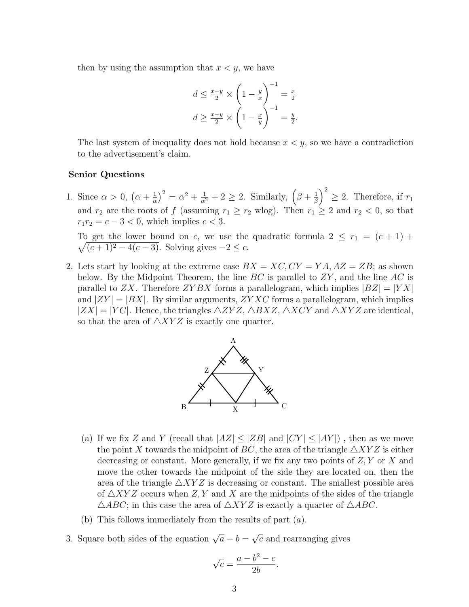then by using the assumption that  $x \leq y$ , we have

$$
d \le \frac{x-y}{2} \times \left(1 - \frac{y}{x}\right)^{-1} = \frac{x}{2}
$$

$$
d \ge \frac{x-y}{2} \times \left(1 - \frac{x}{y}\right)^{-1} = \frac{y}{2}.
$$

The last system of inequality does not hold because  $x \leq y$ , so we have a contradiction to the advertisement's claim.

## Senior Questions

1. Since  $\alpha > 0$ ,  $(\alpha + \frac{1}{\alpha})$  $\frac{1}{\alpha}$ )<sup>2</sup> =  $\alpha^2 + \frac{1}{\alpha^2} + 2 \ge 2$ . Similarly,  $(\beta + \frac{1}{\beta})$  $\left(\frac{1}{\beta}\right)^2 \geq 2$ . Therefore, if  $r_1$ and  $r_2$  are the roots of f (assuming  $r_1 \ge r_2$  wlog). Then  $r_1 \ge 2$  and  $r_2 < 0$ , so that  $r_1r_2 = c - 3 < 0$ , which implies  $c < 3$ .

 $\sqrt{ }$ To get the lower bound on c, we use the quadratic formula  $2 \leq r_1 = (c + 1) +$  $(c+1)^2 - 4(c-3)$ . Solving gives  $-2 \leq c$ .

2. Lets start by looking at the extreme case  $BX = XC, CY = YA, AZ = ZB$ ; as shown below. By the Midpoint Theorem, the line  $BC$  is parallel to  $ZY$ , and the line  $AC$  is parallel to ZX. Therefore ZYBX forms a parallelogram, which implies  $|BZ| = |YX|$ and  $|ZY| = |BX|$ . By similar arguments,  $ZYXC$  forms a parallelogram, which implies  $|ZX| = |YC|$ . Hence, the triangles  $\triangle ZYZ$ ,  $\triangle BXZ$ ,  $\triangle XCY$  and  $\triangle XYZ$  are identical, so that the area of  $\triangle XYZ$  is exactly one quarter.



- (a) If we fix Z and Y (recall that  $|AZ| \leq |ZB|$  and  $|CY| \leq |AY|$ ), then as we move the point X towards the midpoint of BC, the area of the triangle  $\triangle XYZ$  is either decreasing or constant. More generally, if we fix any two points of  $Z, Y$  or X and move the other towards the midpoint of the side they are located on, then the area of the triangle  $\triangle XYZ$  is decreasing or constant. The smallest possible area of  $\triangle XYZ$  occurs when Z, Y and X are the midpoints of the sides of the triangle  $\triangle ABC$ ; in this case the area of  $\triangle XYZ$  is exactly a quarter of  $\triangle ABC$ .
- (b) This follows immediately from the results of part (a).
- 3. Square both sides of the equation  $\sqrt{a} b =$ √  $\bar{c}$  and rearranging gives

$$
\sqrt{c} = \frac{a - b^2 - c}{2b}.
$$